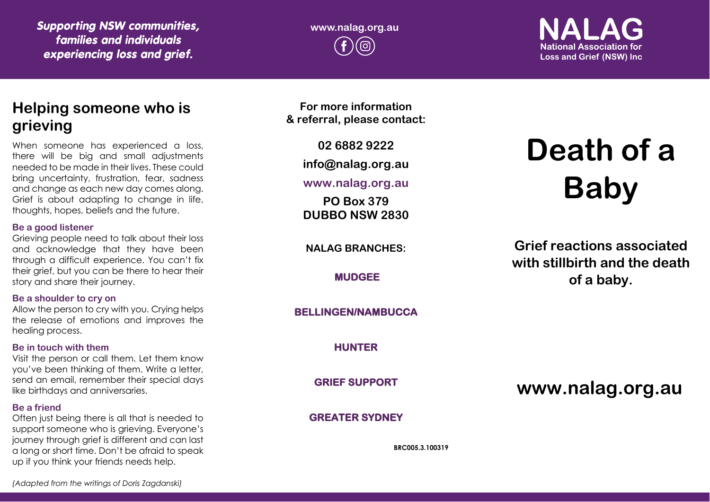*Supporting NSW communities, families and individuals experiencing loss and grief.*

**www.nalag.org.au**

**National Association for Loss and Grief (NSW) Inc.** 

# **Helping someone who is grieving**

When someone has experienced a loss, there will be big and small adjustments needed to be made in their lives. These could bring uncertainty, frustration, fear, sadness and change as each new day comes along. Grief is about adapting to change in life, thoughts, hopes, beliefs and the future.

#### **Be a good listener**

Grieving people need to talk about their loss and acknowledge that they have been through a difficult experience. You can't fix their grief, but you can be there to hear their story and share their journey.

#### **Be a shoulder to cry on**

Allow the person to cry with you. Crying helps the release of emotions and improves the healing process.

#### **Be in touch with them**

Visit the person or call them. Let them know you've been thinking of them. Write a letter, send an email, remember their special days like birthdays and anniversaries.

#### **Be a friend**

Often just being there is all that is needed to support someone who is grieving. Everyone's journey through grief is different and can last a long or short time. Don't be afraid to speak up if you think your friends needs help.

**For more information & referral, please contact:**

**02 6882 9222**

**info@nalag.org.au**

# **www.nalag.org.au**

**PO Box 379 DUBBO NSW 2830**

**NALAG BRANCHES:**

**MUDGEE** 

# **BELLINGEN/NAMBUCCA**

**HUNTER** 

**GRIEF SUPPORT** 

## **GREATER SYDNEY**

**BRC005.3.100319**

# **Death of a Baby**

**Grief reactions associated with stillbirth and the death of a baby.**

**www.nalag.org.au**

*(Adapted from the writings of Doris Zagdanski)*